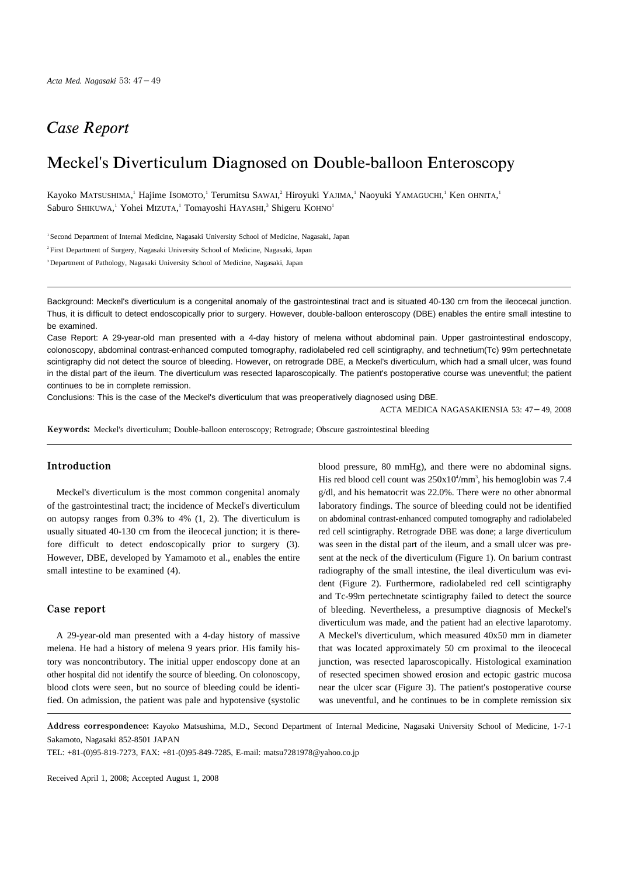# Case Report

# Meckel's Diverticulum Diagnosed on Double-balloon Enteroscopy

Kayoko MATSUSHIMA, <sup>1</sup> Hajime Isomoto, 1 Terumitsu SAwai, 2 Hiroyuki Yajima, 1 Naoyuki Yamaguchi, 1 Ken ohnita, 1 Saburo SHIKUWA,<sup>1</sup> Yohei MIZUTA,<sup>1</sup> Tomayoshi HAYASHI,<sup>3</sup> Shigeru KOHNO<sup>1</sup>

1 Second Department of Internal Medicine, Nagasaki University School of Medicine, Nagasaki, Japan

<sup>2</sup> First Department of Surgery, Nagasaki University School of Medicine, Nagasaki, Japan

<sup>3</sup> Department of Pathology, Nagasaki University School of Medicine, Nagasaki, Japan

Background: Meckel's diverticulum is a congenital anomaly of the gastrointestinal tract and is situated 40-130 cm from the ileocecal junction. Thus, it is difficult to detect endoscopically prior to surgery. However, double-balloon enteroscopy (DBE) enables the entire small intestine to be examined.

Case Report: A 29-year-old man presented with a 4-day history of melena without abdominal pain. Upper gastrointestinal endoscopy, colonoscopy, abdominal contrast-enhanced computed tomography, radiolabeled red cell scintigraphy, and technetium(Tc) 99m pertechnetate scintigraphy did not detect the source of bleeding. However, on retrograde DBE, a Meckel's diverticulum, which had a small ulcer, was found in the distal part of the ileum. The diverticulum was resected laparoscopically. The patient's postoperative course was uneventful; the patient continues to be in complete remission.

Conclusions: This is the case of the Meckel's diverticulum that was preoperatively diagnosed using DBE.

ACTA MEDICA NAGASAKIENSIA 53: 47 49, 2008

Keywords: Meckel's diverticulum; Double-balloon enteroscopy; Retrograde; Obscure gastrointestinal bleeding

### Introduction

Meckel's diverticulum is the most common congenital anomaly of the gastrointestinal tract; the incidence of Meckel's diverticulum on autopsy ranges from 0.3% to 4% (1, 2). The diverticulum is usually situated 40-130 cm from the ileocecal junction; it is therefore difficult to detect endoscopically prior to surgery (3). However, DBE, developed by Yamamoto et al., enables the entire small intestine to be examined (4).

## Case report

A 29-year-old man presented with a 4-day history of massive melena. He had a history of melena 9 years prior. His family history was noncontributory. The initial upper endoscopy done at an other hospital did not identify the source of bleeding. On colonoscopy, blood clots were seen, but no source of bleeding could be identified. On admission, the patient was pale and hypotensive (systolic blood pressure, 80 mmHg), and there were no abdominal signs. His red blood cell count was  $250x10^4/\text{mm}^3$ , his hemoglobin was 7.4 g/dl, and his hematocrit was 22.0%. There were no other abnormal laboratory findings. The source of bleeding could not be identified on abdominal contrast-enhanced computed tomography and radiolabeled red cell scintigraphy. Retrograde DBE was done; a large diverticulum was seen in the distal part of the ileum, and a small ulcer was present at the neck of the diverticulum (Figure 1). On barium contrast radiography of the small intestine, the ileal diverticulum was evident (Figure 2). Furthermore, radiolabeled red cell scintigraphy and Tc-99m pertechnetate scintigraphy failed to detect the source of bleeding. Nevertheless, a presumptive diagnosis of Meckel's diverticulum was made, and the patient had an elective laparotomy. A Meckel's diverticulum, which measured 40x50 mm in diameter that was located approximately 50 cm proximal to the ileocecal junction, was resected laparoscopically. Histological examination of resected specimen showed erosion and ectopic gastric mucosa near the ulcer scar (Figure 3). The patient's postoperative course was uneventful, and he continues to be in complete remission six

Address correspondence: Kayoko Matsushima, M.D., Second Department of Internal Medicine, Nagasaki University School of Medicine, 1-7-1 Sakamoto, Nagasaki 852-8501 JAPAN

TEL: +81-(0)95-819-7273, FAX: +81-(0)95-849-7285, E-mail: matsu7281978@yahoo.co.jp

Received April 1, 2008; Accepted August 1, 2008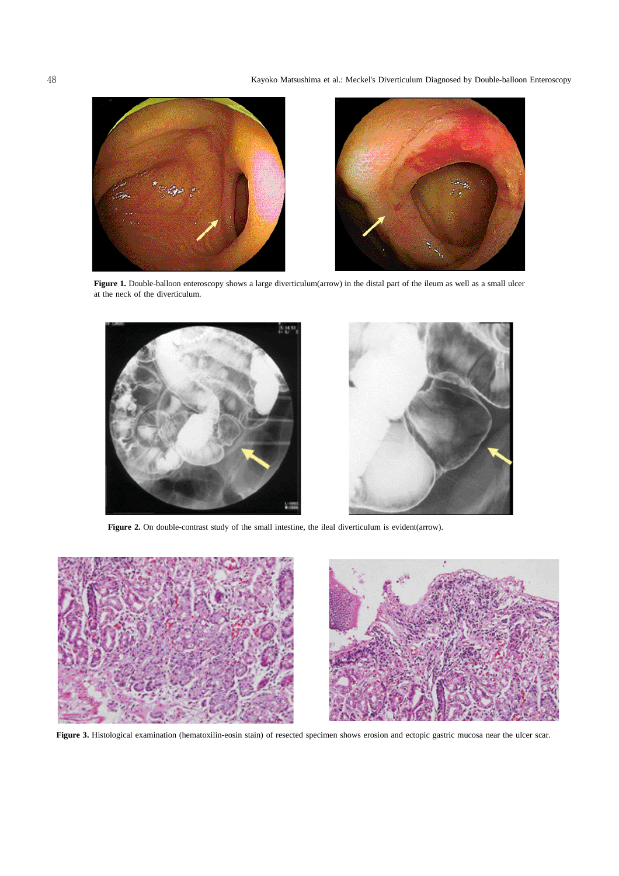



**Figure 1.** Double-balloon enteroscopy shows a large diverticulum(arrow) in the distal part of the ileum as well as a small ulcer at the neck of the diverticulum.



**Figure 2.** On double-contrast study of the small intestine, the ileal diverticulum is evident(arrow).



Figure 3. Histological examination (hematoxilin-eosin stain) of resected specimen shows erosion and ectopic gastric mucosa near the ulcer scar.